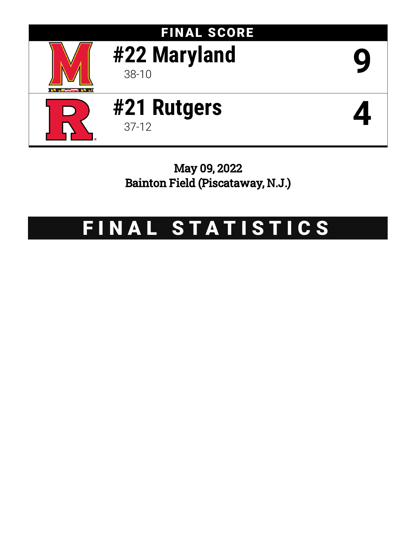

May 09, 2022 Bainton Field (Piscataway, N.J.)

# FINAL STATISTICS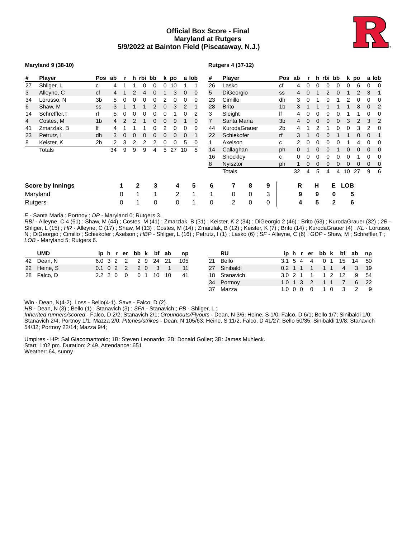## **Official Box Score - Final Maryland at Rutgers 5/9/2022 at Bainton Field (Piscataway, N.J.)**



#### **Maryland 9 (38-10)**

#### **Rutgers 4 (37-12)**

| #  | Player                  | Pos            | ab             | r | h rbi bb     |   |              |   | k po |    | a lob | #  | <b>Player</b>    |          |   | Pos            | ab           |          |   |   | h rbi bb |            | k po |   | a lob |
|----|-------------------------|----------------|----------------|---|--------------|---|--------------|---|------|----|-------|----|------------------|----------|---|----------------|--------------|----------|---|---|----------|------------|------|---|-------|
| 27 | Shliger, L              | C              | 4              |   |              | 0 | 0            | 0 | 10   |    |       | 26 | Lasko            |          |   | сf             | 4            |          |   |   |          |            | 6    | 0 |       |
| 3  | Alleyne, C              | cf             | $\overline{4}$ |   |              | 4 | 0            |   | 3    | 0  | 0     | 5  | <b>DiGeorgio</b> |          |   | SS             | 4            | O        |   |   | 0        |            |      | 3 |       |
| 34 | Lorusso, N              | 3b             | 5.             | 0 | 0            | 0 | 0            |   | 0    | 0  | 0     | 23 | Cimillo          |          |   | dh             | 3            | $\theta$ |   |   |          |            |      | 0 |       |
| 6  | Shaw, M                 | <b>SS</b>      |                |   |              |   |              | 0 | 3    | 2  | 1     | 28 | <b>Brito</b>     |          |   | 1 <sub>b</sub> | 3            |          |   |   |          |            | 8    | 0 |       |
| 14 | Schreffler, T           | rf             | 5.             | 0 | 0            | 0 | $\Omega$     | 0 |      |    |       | 3  | Sleight          |          |   | lf             | 4            | 0        | 0 |   |          |            |      | 0 |       |
| 4  | Costes, M               | 1 <sub>b</sub> | 4              |   | 2            |   | <sup>0</sup> | 0 | 9    |    | 0     | 7  | Santa Maria      |          |   | 3 <sub>b</sub> | 4            | 0        | 0 | 0 | 0        |            | 2    | 3 | 2     |
| 41 | Zmarzlak, B             | lf             |                |   |              |   |              |   | 0    |    | 0     | 44 | KurodaGrauer     |          |   | 2 <sub>b</sub> | 4            |          |   |   |          |            | 3    | 2 |       |
| 23 | Petrutz, I              | dh             | 3              | 0 | 0            | 0 |              |   | 0    | 0  |       | 22 | Schiekofer       |          |   | rf             | 3            |          |   |   |          |            | 0    | 0 |       |
| 8  | Keister, K              | 2b             |                | 3 |              | 2 |              | 0 | 0    | 5  | 0     |    | Axelson          |          |   | c              |              |          |   |   |          |            |      | 0 |       |
|    | <b>Totals</b>           |                | 34             | 9 | 9            | 9 | 4            | 5 | 27   | 10 | 5     | 14 | Callaghan        |          |   | ph             | O.           |          |   |   |          |            |      | 0 |       |
|    |                         |                |                |   |              |   |              |   |      |    |       | 16 | Shockley         |          |   | с              | 0            |          |   |   |          |            |      | 0 |       |
|    |                         |                |                |   |              |   |              |   |      |    |       | 8  | Nyisztor         |          |   | ph             | $\mathbf{1}$ |          |   | 0 |          |            | 0    | 0 | 0     |
|    |                         |                |                |   |              |   |              |   |      |    |       |    | <b>Totals</b>    |          |   |                | 32           | 4        | 5 | 4 | 4        | 10         | 27   | 9 | -6    |
|    | <b>Score by Innings</b> |                |                | 1 | $\mathbf{2}$ |   | 3            |   | 4    |    | 5     | 6  |                  | 8        | 9 |                | R            |          | н |   | Е.       | <b>LOB</b> |      |   |       |
|    | Maryland                |                |                | 0 | 1            |   | 1            |   | 2    |    |       |    | $\Omega$         | $\Omega$ | 3 |                | 9            |          | 9 |   | 0        |            | 5    |   |       |
|    | Rutgers                 |                |                | 0 | 1            |   | 0            |   | 0    |    |       | 0  | 2                | 0        | 0 |                | 4            |          | 5 |   | 2        |            | 6    |   |       |

*E* - Santa Maria ; Portnoy ; *DP* - Maryland 0; Rutgers 3.

*RBI* - Alleyne, C 4 (61) ; Shaw, M (44) ; Costes, M (41) ; Zmarzlak, B (31) ; Keister, K 2 (34) ; DiGeorgio 2 (46) ; Brito (63) ; KurodaGrauer (32) ; *2B* - Shliger, L (15) ; *HR* - Alleyne, C (17) ; Shaw, M (13) ; Costes, M (14) ; Zmarzlak, B (12) ; Keister, K (7) ; Brito (14) ; KurodaGrauer (4) ; *KL* - Lorusso, N ; DiGeorgio ; Cimillo ; Schiekofer ; Axelson ; *HBP* - Shliger, L (16) ; Petrutz, I (1) ; Lasko (6) ; *SF* - Alleyne, C (6) ; *GDP* - Shaw, M ; Schreffler,T ; *LOB* - Maryland 5; Rutgers 6.

| <b>UMD</b>  |        |  |                   |                | iphrerbbk bfab      |    | np  | RU           |         |  |                   |     |                   | iphrerbbk bfab np      |      |
|-------------|--------|--|-------------------|----------------|---------------------|----|-----|--------------|---------|--|-------------------|-----|-------------------|------------------------|------|
| 42 Dean, N  |        |  |                   |                | 6.0 3 2 2 2 9 24 21 |    | 105 | 21 Bello     |         |  |                   |     |                   | 3.1 5 4 4 0 1 15 14 50 |      |
| 22 Heine, S |        |  | $0.1 \t0 \t2 \t2$ |                | 20 3                |    |     | 27 Sinibaldi |         |  | 0.2 1 1 1 1 1 1 4 |     |                   | $\sim$ 3               | 19   |
| 28 Falco, D | 22 2 0 |  | $\overline{0}$    | 0 <sub>1</sub> | 10                  | 10 | 41  | 18 Stanavich |         |  |                   |     | 3.0 2 1 1 1 2 1 2 | 9 54                   |      |
|             |        |  |                   |                |                     |    |     | 34 Portnov   |         |  |                   |     | 1.0 1 3 2 1 1 7   |                        | 6 22 |
|             |        |  |                   |                |                     |    |     | 37 Mazza     | 1.0 0 0 |  |                   | 1 O |                   |                        | - 9  |

Win - Dean, N(4-2). Loss - Bello(4-1). Save - Falco, D (2).

*HB* - Dean, N (3) ; Bello (1) ; Stanavich (3) ; SFA - Stanavich ; PB - Shliger, L;

*Inherited runners/scored* - Falco, D 2/2; Stanavich 2/1; *Groundouts/Flyouts* - Dean, N 3/6; Heine, S 1/0; Falco, D 6/1; Bello 1/7; Sinibaldi 1/0; Stanavich 2/4; Portnoy 1/1; Mazza 2/0; *PItches/strikes* - Dean, N 105/63; Heine, S 11/2; Falco, D 41/27; Bello 50/35; Sinibaldi 19/8; Stanavich 54/32; Portnoy 22/14; Mazza 9/4;

Umpires - HP: Sal Giacomantonio; 1B: Steven Leonardo; 2B: Donald Goller; 3B: James Muhleck. Start: 1:02 pm. Duration: 2:49. Attendance: 651 Weather: 64, sunny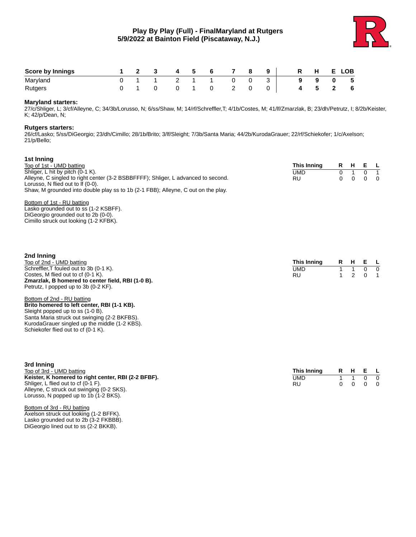

**This Inning R H E L** UMD 1 1 0 0<br>RU 1 2 0 1 RU 1 2 0 1

| <b>Score by Innings</b> |  | $\overline{\mathbf{3}}$ | $\mathbf{A}$ | 5 |  | -8 | 9 | $\mathbf R$ | $H$ and $H$ | E LOB |
|-------------------------|--|-------------------------|--------------|---|--|----|---|-------------|-------------|-------|
| Maryland                |  |                         |              |   |  |    |   |             | -9          | - 5   |
| Rutgers                 |  |                         |              |   |  |    |   |             | b.          | - 6   |

#### **Maryland starters:**

27/c/Shliger, L; 3/cf/Alleyne, C; 34/3b/Lorusso, N; 6/ss/Shaw, M; 14/rf/Schreffler,T; 4/1b/Costes, M; 41/lf/Zmarzlak, B; 23/dh/Petrutz, I; 8/2b/Keister, K; 42/p/Dean, N;

#### **Rutgers starters:**

26/cf/Lasko; 5/ss/DiGeorgio; 23/dh/Cimillo; 28/1b/Brito; 3/lf/Sleight; 7/3b/Santa Maria; 44/2b/KurodaGrauer; 22/rf/Schiekofer; 1/c/Axelson; 21/p/Bello;

| 1st Inning                                                                        |             |     |         |            |
|-----------------------------------------------------------------------------------|-------------|-----|---------|------------|
| Top of 1st - UMD batting                                                          | This Inning |     | R H E L |            |
| Shliger, L hit by pitch (0-1 K).                                                  | UMD         |     |         | $0\quad 1$ |
| Alleyne, C singled to right center (3-2 BSBBFFFF); Shliger, L advanced to second. | RU          | n n |         | $0\quad 0$ |
| Lorusso, N flied out to If (0-0).                                                 |             |     |         |            |
| Shaw, M grounded into double play ss to 1b (2-1 FBB); Alleyne, C out on the play. |             |     |         |            |

Bottom of 1st - RU batting

Lasko grounded out to ss (1-2 KSBFF). DiGeorgio grounded out to 2b (0-0). Cimillo struck out looking (1-2 KFBK).

#### **2nd Inning**

Top of 2nd - UMD batting Schreffler,T fouled out to 3b (0-1 K). Costes, M flied out to cf  $(0-1 K)$ . **Zmarzlak, B homered to center field, RBI (1-0 B).** Petrutz, I popped up to 3b (0-2 KF).

Bottom of 2nd - RU batting

**Brito homered to left center, RBI (1-1 KB).** Sleight popped up to ss (1-0 B). Santa Maria struck out swinging (2-2 BKFBS). KurodaGrauer singled up the middle (1-2 KBS). Schiekofer flied out to cf (0-1 K).

| 3rd Inning                                          |             |  |         |                |
|-----------------------------------------------------|-------------|--|---------|----------------|
| Top of 3rd - UMD batting                            | This Inning |  | R H E L |                |
| Keister, K homered to right center, RBI (2-2 BFBF). | UMD         |  |         | $\overline{0}$ |
| Shliger, L flied out to cf (0-1 F).                 | RU          |  |         | $\overline{0}$ |
| Alleyne, C struck out swinging (0-2 SKS).           |             |  |         |                |
| Lorusso, N popped up to 1b (1-2 BKS).               |             |  |         |                |

Bottom of 3rd - RU batting Axelson struck out looking (1-2 BFFK). Lasko grounded out to 2b (3-2 FKBBB). DiGeorgio lined out to ss (2-2 BKKB).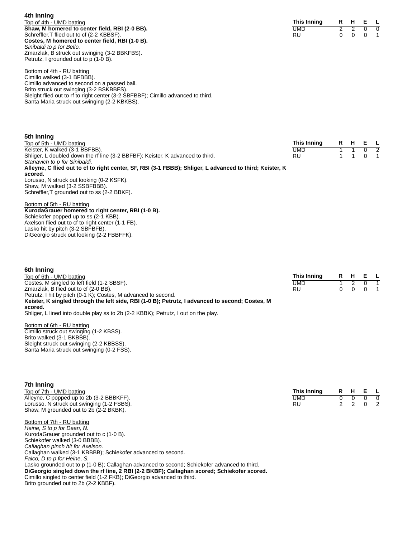**4th Inning** Top of 4th - UMD batting **Shaw, M homered to center field, RBI (2-0 BB).** Schreffler, T flied out to cf (2-2 KBBSF). **Costes, M homered to center field, RBI (1-0 B).** *Sinibaldi to p for Bello.* Zmarzlak, B struck out swinging (3-2 BBKFBS). Petrutz, I grounded out to  $p(1-0 B)$ .

| This Inning | R |  |  |
|-------------|---|--|--|
| UMD         |   |  |  |
| RU          |   |  |  |

Bottom of 4th - RU batting Cimillo walked (3-1 BFBBB). Cimillo advanced to second on a passed ball. Brito struck out swinging (3-2 BSKBBFS). Sleight flied out to rf to right center (3-2 SBFBBF); Cimillo advanced to third. Santa Maria struck out swinging (2-2 KBKBS).

| 5th Inning                                                                                               |             |         |             |  |
|----------------------------------------------------------------------------------------------------------|-------------|---------|-------------|--|
| Top of 5th - UMD batting                                                                                 | This Inning | R H E L |             |  |
| Keister, K walked (3-1 BBFBB).                                                                           | UMD         | 1 1     | $0 \quad 2$ |  |
| Shliger, L doubled down the rf line (3-2 BBFBF); Keister, K advanced to third.                           | RU.         | 1 1 0 1 |             |  |
| Stanavich to p for Sinibaldi.                                                                            |             |         |             |  |
| Alleyne, C flied out to cf to right center, SF, RBI (3-1 FBBB); Shliger, L advanced to third; Keister, K |             |         |             |  |
| scored.                                                                                                  |             |         |             |  |

#### Lorusso, N struck out looking (0-2 KSFK). Shaw, M walked (3-2 SSBFBBB). Schreffler, T grounded out to ss (2-2 BBKF).

Bottom of 5th - RU batting **KurodaGrauer homered to right center, RBI (1-0 B).** Schiekofer popped up to ss (2-1 KBB). Axelson flied out to cf to right center (1-1 FB). Lasko hit by pitch (3-2 SBFBFB). DiGeorgio struck out looking (2-2 FBBFFK).

| 6th Inning                                                                                                 |             |    |      |     |             |
|------------------------------------------------------------------------------------------------------------|-------------|----|------|-----|-------------|
| Top of 6th - UMD batting                                                                                   | This Inning | R. | . н. | E L |             |
| Costes, M singled to left field (1-2 SBSF).                                                                | UMD         |    |      |     |             |
| Zmarzlak, B flied out to cf (2-0 BB).                                                                      | RU.         |    |      |     | $0 \quad 1$ |
| Petrutz, I hit by pitch (0-1 K); Costes, M advanced to second.                                             |             |    |      |     |             |
| Keister, K singled through the left side, RBI (1-0 B); Petrutz, I advanced to second; Costes, M<br>scored. |             |    |      |     |             |
| Shliger, L lined into double play ss to 2b (2-2 KBBK); Petrutz, I out on the play.                         |             |    |      |     |             |
| Bottom of 6th - RU batting                                                                                 |             |    |      |     |             |
| Cimillo struck out swinging (1-2 KBSS).                                                                    |             |    |      |     |             |

Cimillo struck out swinging (1-2 KBSS). Brito walked (3-1 BKBBB). Sleight struck out swinging (2-2 KBBSS). Santa Maria struck out swinging (0-2 FSS).

| 7th Inning                                                                                   |             |               |          |          |               |
|----------------------------------------------------------------------------------------------|-------------|---------------|----------|----------|---------------|
| Top of 7th - UMD batting                                                                     | This Inning | R             | H        | Е        |               |
| Alleyne, C popped up to 2b (3-2 BBBKFF).                                                     | <b>UMD</b>  | 0             | $\Omega$ | $\Omega$ |               |
| Lorusso, N struck out swinging (1-2 FSBS).                                                   | <b>RU</b>   | $\mathcal{P}$ | 2        | 0        | $\mathcal{P}$ |
| Shaw, M grounded out to 2b (2-2 BKBK).                                                       |             |               |          |          |               |
| Bottom of 7th - RU batting                                                                   |             |               |          |          |               |
| Heine, S to p for Dean, N.                                                                   |             |               |          |          |               |
| KurodaGrauer grounded out to c (1-0 B).                                                      |             |               |          |          |               |
| Schiekofer walked (3-0 BBBB).                                                                |             |               |          |          |               |
| Callaghan pinch hit for Axelson.                                                             |             |               |          |          |               |
| Callaghan walked (3-1 KBBBB); Schiekofer advanced to second.                                 |             |               |          |          |               |
| Falco, D to p for Heine, S.                                                                  |             |               |          |          |               |
| Lasko grounded out to p (1-0 B); Callaghan advanced to second; Schiekofer advanced to third. |             |               |          |          |               |
| DiGeorgio singled down the rf line, 2 RBI (2-2 BKBF); Callaghan scored; Schiekofer scored.   |             |               |          |          |               |
| Cimillo singled to center field (1-2 FKB); DiGeorgio advanced to third.                      |             |               |          |          |               |

Brito grounded out to 2b (2-2 KBBF).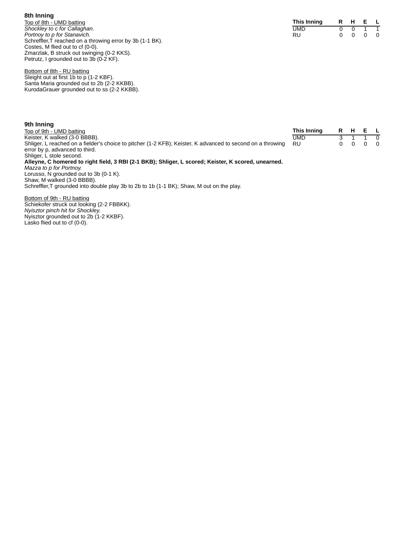**8th Inning** Top of 8th - UMD batting *Shockley to c for Callaghan. Portnoy to p for Stanavich.* Schreffler, T reached on a throwing error by 3b (1-1 BK). Costes, M flied out to cf (0-0). Zmarzlak, B struck out swinging (0-2 KKS). Petrutz, I grounded out to 3b (0-2 KF).

Bottom of 8th - RU batting Sleight out at first 1b to p (1-2 KBF). Santa Maria grounded out to 2b (2-2 KKBB). KurodaGrauer grounded out to ss (2-2 KKBB).

**9th Inning**

| Top of 9th - UMD batting                                                                                   | This Inning | R. | E. | $\blacksquare$ |
|------------------------------------------------------------------------------------------------------------|-------------|----|----|----------------|
| Keister, K walked (3-0 BBBB).                                                                              | UMD         |    |    | $\Omega$       |
| Shliger, L reached on a fielder's choice to pitcher (1-2 KFB); Keister, K advanced to second on a throwing | <b>RU</b>   |    |    | $\overline{0}$ |
| error by p. advanced to third.                                                                             |             |    |    |                |
| Shliger, L stole second.                                                                                   |             |    |    |                |
| Alleyne, C homered to right field, 3 RBI (2-1 BKB); Shliger, L scored; Keister, K scored, unearned.        |             |    |    |                |
| Mazza to p for Portnoy.                                                                                    |             |    |    |                |
| Lorusso, N grounded out to 3b (0-1 K).                                                                     |             |    |    |                |
| Shaw, M walked (3-0 BBBB).                                                                                 |             |    |    |                |

Schreffler,T grounded into double play 3b to 2b to 1b (1-1 BK); Shaw, M out on the play.

Bottom of 9th - RU batting Schiekofer struck out looking (2-2 FBBKK). *Nyisztor pinch hit for Shockley.* Nyisztor grounded out to 2b (1-2 KKBF). Lasko flied out to cf (0-0).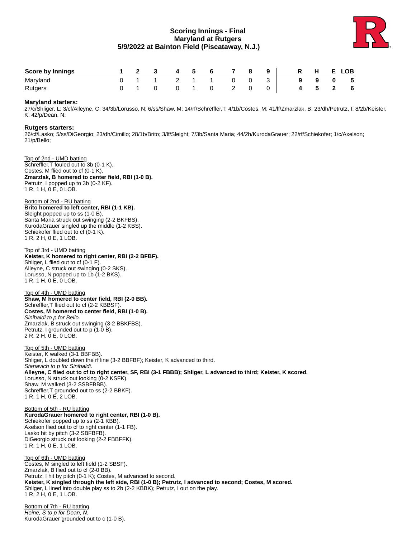## **Scoring Innings - Final Maryland at Rutgers 5/9/2022 at Bainton Field (Piscataway, N.J.)**



| <b>Score by Innings</b> | $1 \quad 2 \quad 3$ | $\overline{4}$ | - 5 | 6 | 78 | 9 <sup>1</sup> |  | R H E LOB |            |   |
|-------------------------|---------------------|----------------|-----|---|----|----------------|--|-----------|------------|---|
| Maryland                |                     | 1 2 1 1        |     |   |    |                |  | - 9       | $0\quad 5$ |   |
| Rutgers                 |                     |                |     |   |    |                |  | 45        |            | 6 |

#### **Maryland starters:**

27/c/Shliger, L; 3/cf/Alleyne, C; 34/3b/Lorusso, N; 6/ss/Shaw, M; 14/rf/Schreffler,T; 4/1b/Costes, M; 41/lf/Zmarzlak, B; 23/dh/Petrutz, I; 8/2b/Keister, K; 42/p/Dean, N;

### **Rutgers starters:**

26/cf/Lasko; 5/ss/DiGeorgio; 23/dh/Cimillo; 28/1b/Brito; 3/lf/Sleight; 7/3b/Santa Maria; 44/2b/KurodaGrauer; 22/rf/Schiekofer; 1/c/Axelson; 21/p/Bello;

Top of 2nd - UMD batting Schreffler,T fouled out to 3b (0-1 K). Costes, M flied out to cf (0-1 K). **Zmarzlak, B homered to center field, RBI (1-0 B).** Petrutz, I popped up to 3b (0-2 KF). 1 R, 1 H, 0 E, 0 LOB.

Bottom of 2nd - RU batting **Brito homered to left center, RBI (1-1 KB).** Sleight popped up to ss (1-0 B). Santa Maria struck out swinging (2-2 BKFBS). KurodaGrauer singled up the middle (1-2 KBS). Schiekofer flied out to cf (0-1 K). 1 R, 2 H, 0 E, 1 LOB.

Top of 3rd - UMD batting **Keister, K homered to right center, RBI (2-2 BFBF).** Shliger, L flied out to cf (0-1 F). Alleyne, C struck out swinging (0-2 SKS). Lorusso, N popped up to 1b (1-2 BKS). 1 R, 1 H, 0 E, 0 LOB.

Top of 4th - UMD batting **Shaw, M homered to center field, RBI (2-0 BB).** Schreffler, T flied out to cf (2-2 KBBSF). **Costes, M homered to center field, RBI (1-0 B).** *Sinibaldi to p for Bello.* Zmarzlak, B struck out swinging (3-2 BBKFBS). Petrutz, I grounded out to p (1-0 B). 2 R, 2 H, 0 E, 0 LOB.

Top of 5th - UMD batting Keister, K walked (3-1 BBFBB). Shliger, L doubled down the rf line (3-2 BBFBF); Keister, K advanced to third. *Stanavich to p for Sinibaldi.* **Alleyne, C flied out to cf to right center, SF, RBI (3-1 FBBB); Shliger, L advanced to third; Keister, K scored.** Lorusso, N struck out looking (0-2 KSFK). Shaw, M walked (3-2 SSBFBBB). Schreffler,T grounded out to ss (2-2 BBKF). 1 R, 1 H, 0 E, 2 LOB.

Bottom of 5th - RU batting **KurodaGrauer homered to right center, RBI (1-0 B).** Schiekofer popped up to ss (2-1 KBB). Axelson flied out to cf to right center (1-1 FB). Lasko hit by pitch (3-2 SBFBFB). DiGeorgio struck out looking (2-2 FBBFFK). 1 R, 1 H, 0 E, 1 LOB.

Top of 6th - UMD batting Costes, M singled to left field (1-2 SBSF). Zmarzlak, B flied out to cf (2-0 BB). Petrutz, I hit by pitch (0-1 K); Costes, M advanced to second. **Keister, K singled through the left side, RBI (1-0 B); Petrutz, I advanced to second; Costes, M scored.** Shliger, L lined into double play ss to 2b (2-2 KBBK); Petrutz, I out on the play. 1 R, 2 H, 0 E, 1 LOB.

Bottom of 7th - RU batting *Heine, S to p for Dean, N.* KurodaGrauer grounded out to c (1-0 B).